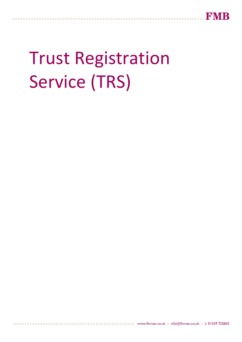# Trust Registration Service (TRS)

............

...............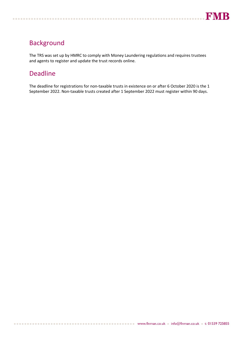# Background

The TRS was set up by HMRC to comply with Money Laundering regulations and requires trustees and agents to register and update the trust records online.

## Deadline

The deadline for registrations for non-taxable trusts in existence on or after 6 October 2020 is the 1 September 2022. Non-taxable trusts created after 1 September 2022 must register within 90 days.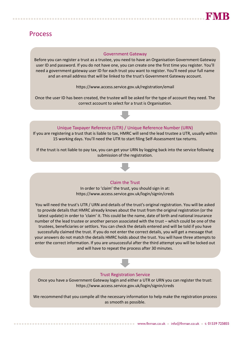## Process

#### Government Gateway

Before you can register a trust as a trustee, you need to have an Organisation Government Gateway user ID and password. If you do not have one, you can create one the first time you register. You'll need a government gateway user ID for each trust you want to register. You'll need your full name and an email address that will be linked to the trust's Government Gateway account.

https://www.access.service.gov.uk/registration/email

Once the user ID has been created, the trustee will be asked for the type of account they need. The correct account to select for a trust is Organisation.

Unique Taxpayer Reference (UTR) / Unique Reference Number (URN) If you are registering a trust that is liable to tax, HMRC will send the lead trustee a UTR, usually within 15 working days. You'll need the UTR to start filing Self-Assessment tax returns.

If the trust is not liable to pay tax, you can get your URN by logging back into the service following submission of the registration.



#### Claim the Trust

In order to 'claim' the trust, you should sign in at: https://www.access.service.gov.uk/login/signin/creds

You will need the trust's UTR / URN and details of the trust's original registration. You will be asked to provide details that HMRC already knows about the trust from the original registration (or the latest update) in order to 'claim' it. This could be the name, date of birth and national insurance number of the lead trustee or another person associated with the trust – which could be one of the trustees, beneficiaries or settlors. You can check the details entered and will be told if you have successfully claimed the trust. If you do not enter the correct details, you will get a message that your answers do not match the details HMRC holds about the trust. You will have three attempts to enter the correct information. If you are unsuccessful after the third attempt you will be locked out and will have to repeat the process after 30 minutes.

#### Trust Registration Service

Once you have a Government Gateway login and either a UTR or URN you can register the trust: https://www.access.service.gov.uk/login/signin/creds

We recommend that you compile all the necessary information to help make the registration process as smooth as possible.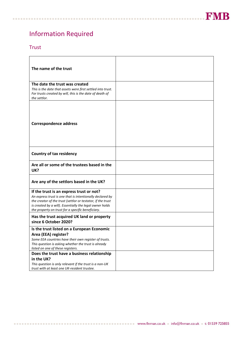# Information Required

#### Trust

............

| The name of the trust                                                                                                                                                                                                                                                                                                                            |  |
|--------------------------------------------------------------------------------------------------------------------------------------------------------------------------------------------------------------------------------------------------------------------------------------------------------------------------------------------------|--|
| The date the trust was created<br>This is the date that assets were first settled into trust.<br>For trusts created by will, this is the date of death of<br>the settlor.                                                                                                                                                                        |  |
| <b>Correspondence address</b>                                                                                                                                                                                                                                                                                                                    |  |
| <b>Country of tax residency</b>                                                                                                                                                                                                                                                                                                                  |  |
| Are all or some of the trustees based in the<br>UK?                                                                                                                                                                                                                                                                                              |  |
| Are any of the settlors based in the UK?                                                                                                                                                                                                                                                                                                         |  |
| If the trust is an express trust or not?<br>An express trust is one that is intentionally declared by<br>the creator of the trust (settlor or testator, if the trust<br>is created by a will). Essentially the legal owner holds<br>the property on trust for a specific beneficiary.                                                            |  |
| Has the trust acquired UK land or property<br>since 6 October 2020?                                                                                                                                                                                                                                                                              |  |
| Is the trust listed on a European Economic<br>Area (EEA) register?<br>Some EEA countries have their own register of trusts.<br>This question is asking whether the trust is already<br>listed on one of these registers.<br>Does the trust have a business relationship<br>in the UK?<br>This question is only relevant if the trust is a non-UK |  |
| trust with at least one UK-resident trustee.                                                                                                                                                                                                                                                                                                     |  |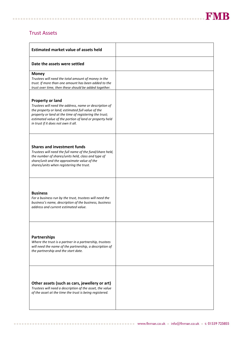#### Trust Assets

| <b>Estimated market value of assets held</b>                                                                                                                                                                                                                                                       |  |
|----------------------------------------------------------------------------------------------------------------------------------------------------------------------------------------------------------------------------------------------------------------------------------------------------|--|
| Date the assets were settled                                                                                                                                                                                                                                                                       |  |
| <b>Money</b><br>Trustees will need the total amount of money in the<br>trust. If more than one amount has been added to the<br>trust over time, then these should be added together.                                                                                                               |  |
| <b>Property or land</b><br>Trustees will need the address, name or description of<br>the property or land; estimated full value of the<br>property or land at the time of registering the trust;<br>estimated value of the portion of land or property held<br>in trust if it does not own it all. |  |
| <b>Shares and investment funds</b><br>Trustees will need the full name of the fund/share held,<br>the number of shares/units held, class and type of<br>share/unit and the approximate value of the<br>shares/units when registering the trust.                                                    |  |
| <b>Business</b><br>For a business run by the trust, trustees will need the<br>business's name, description of the business, business<br>address and current estimated value.                                                                                                                       |  |
| Partnerships<br>Where the trust is a partner in a partnership, trustees<br>will need the name of the partnership, a description of<br>the partnership and the start date.                                                                                                                          |  |
| Other assets (such as cars, jewellery or art)<br>Trustees will need a description of the asset, the value<br>of the asset at the time the trust is being registered.                                                                                                                               |  |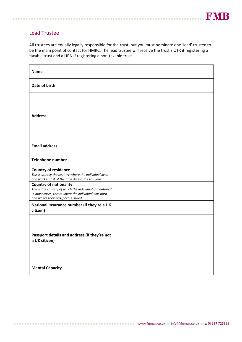#### Lead Trustee

All trustees are equally legally responsible for the trust, but you must nominate one 'lead' trustee to be the main point of contact for HMRC. The lead trustee will receive the trust's UTR if registering a taxable trust and a URN if registering a non-taxable trust.

| <b>Name</b>                                                                                                                                                                                |  |
|--------------------------------------------------------------------------------------------------------------------------------------------------------------------------------------------|--|
| Date of birth                                                                                                                                                                              |  |
| <b>Address</b>                                                                                                                                                                             |  |
| <b>Email address</b>                                                                                                                                                                       |  |
| <b>Telephone number</b>                                                                                                                                                                    |  |
| <b>Country of residence</b><br>This is usually the country where the individual lives<br>and works most of the time during the tax year.                                                   |  |
| <b>Country of nationality</b><br>This is the country of which the individual is a national.<br>In most cases, this is where the individual was born<br>and where their passport is issued. |  |
| National Insurance number (if they're a UK<br>citizen)                                                                                                                                     |  |
| Passport details and address (if they're not<br>a UK citizen)                                                                                                                              |  |
| <b>Mental Capacity</b>                                                                                                                                                                     |  |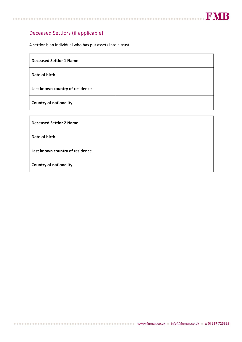## Deceased Settlors (if applicable)

A settlor is an individual who has put assets into a trust.

| <b>Deceased Settlor 1 Name</b>  |  |
|---------------------------------|--|
| Date of birth                   |  |
| Last known country of residence |  |
| <b>Country of nationality</b>   |  |

| <b>Deceased Settlor 2 Name</b>  |  |
|---------------------------------|--|
| Date of birth                   |  |
| Last known country of residence |  |
| <b>Country of nationality</b>   |  |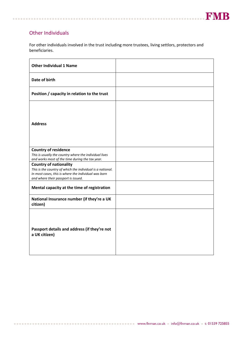### Other Individuals

For other individuals involved in the trust including more trustees, living settlors, protectors and beneficiaries.

| <b>Other Individual 1 Name</b>                                                                                                                                                             |  |
|--------------------------------------------------------------------------------------------------------------------------------------------------------------------------------------------|--|
| Date of birth                                                                                                                                                                              |  |
| Position / capacity in relation to the trust                                                                                                                                               |  |
| <b>Address</b>                                                                                                                                                                             |  |
| <b>Country of residence</b><br>This is usually the country where the individual lives<br>and works most of the time during the tax year.                                                   |  |
| <b>Country of nationality</b><br>This is the country of which the individual is a national.<br>In most cases, this is where the individual was born<br>and where their passport is issued. |  |
| Mental capacity at the time of registration                                                                                                                                                |  |
| National Insurance number (if they're a UK<br>citizen)                                                                                                                                     |  |
| Passport details and address (if they're not<br>a UK citizen)                                                                                                                              |  |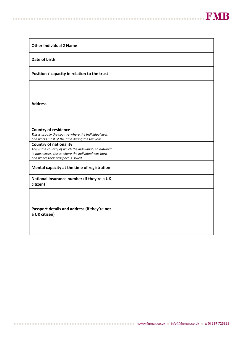| <b>Other Individual 2 Name</b>                                                                                                                                                             |  |
|--------------------------------------------------------------------------------------------------------------------------------------------------------------------------------------------|--|
| Date of birth                                                                                                                                                                              |  |
| Position / capacity in relation to the trust                                                                                                                                               |  |
| <b>Address</b>                                                                                                                                                                             |  |
| <b>Country of residence</b><br>This is usually the country where the individual lives<br>and works most of the time during the tax year.                                                   |  |
| <b>Country of nationality</b><br>This is the country of which the individual is a national.<br>In most cases, this is where the individual was born<br>and where their passport is issued. |  |
| Mental capacity at the time of registration                                                                                                                                                |  |
| National Insurance number (if they're a UK<br>citizen)                                                                                                                                     |  |
| Passport details and address (if they're not<br>a UK citizen)                                                                                                                              |  |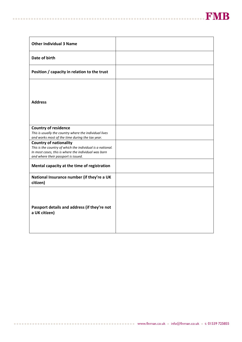| <b>Other Individual 3 Name</b>                                                                                                                                                             |  |
|--------------------------------------------------------------------------------------------------------------------------------------------------------------------------------------------|--|
| Date of birth                                                                                                                                                                              |  |
| Position / capacity in relation to the trust                                                                                                                                               |  |
| <b>Address</b>                                                                                                                                                                             |  |
| <b>Country of residence</b><br>This is usually the country where the individual lives<br>and works most of the time during the tax year.                                                   |  |
| <b>Country of nationality</b><br>This is the country of which the individual is a national.<br>In most cases, this is where the individual was born<br>and where their passport is issued. |  |
| Mental capacity at the time of registration                                                                                                                                                |  |
| National Insurance number (if they're a UK<br>citizen)                                                                                                                                     |  |
| Passport details and address (if they're not<br>a UK citizen)                                                                                                                              |  |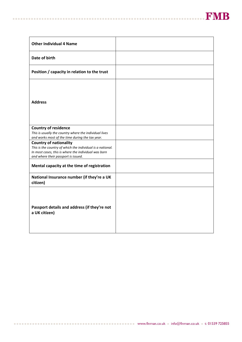| <b>Other Individual 4 Name</b>                                                                                                                                                             |  |
|--------------------------------------------------------------------------------------------------------------------------------------------------------------------------------------------|--|
| Date of birth                                                                                                                                                                              |  |
| Position / capacity in relation to the trust                                                                                                                                               |  |
| <b>Address</b>                                                                                                                                                                             |  |
| <b>Country of residence</b><br>This is usually the country where the individual lives<br>and works most of the time during the tax year.                                                   |  |
| <b>Country of nationality</b><br>This is the country of which the individual is a national.<br>In most cases, this is where the individual was born<br>and where their passport is issued. |  |
| Mental capacity at the time of registration                                                                                                                                                |  |
| National Insurance number (if they're a UK<br>citizen)                                                                                                                                     |  |
| Passport details and address (if they're not<br>a UK citizen)                                                                                                                              |  |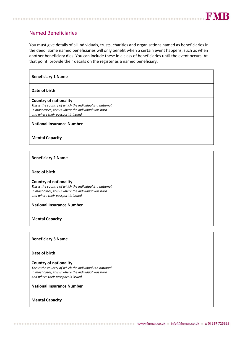#### Named Beneficiaries

You must give details of all individuals, trusts, charities and organisations named as beneficiaries in the deed. Some named beneficiaries will only benefit when a certain event happens, such as when another beneficiary dies. You can include these in a class of beneficiaries until the event occurs. At that point, provide their details on the register as a named beneficiary.

| <b>Beneficiary 1 Name</b>                                                                                                                                                                  |  |
|--------------------------------------------------------------------------------------------------------------------------------------------------------------------------------------------|--|
| Date of birth                                                                                                                                                                              |  |
| <b>Country of nationality</b><br>This is the country of which the individual is a national.<br>In most cases, this is where the individual was born<br>and where their passport is issued. |  |
| <b>National Insurance Number</b>                                                                                                                                                           |  |
| <b>Mental Capacity</b>                                                                                                                                                                     |  |

| <b>Beneficiary 2 Name</b>                                                                                                                                                                  |  |
|--------------------------------------------------------------------------------------------------------------------------------------------------------------------------------------------|--|
| Date of birth                                                                                                                                                                              |  |
| <b>Country of nationality</b><br>This is the country of which the individual is a national.<br>In most cases, this is where the individual was born<br>and where their passport is issued. |  |
| <b>National Insurance Number</b>                                                                                                                                                           |  |
| <b>Mental Capacity</b>                                                                                                                                                                     |  |

| <b>Beneficiary 3 Name</b>                                                                                                                                                                  |  |
|--------------------------------------------------------------------------------------------------------------------------------------------------------------------------------------------|--|
| Date of birth                                                                                                                                                                              |  |
| <b>Country of nationality</b><br>This is the country of which the individual is a national.<br>In most cases, this is where the individual was born<br>and where their passport is issued. |  |
| <b>National Insurance Number</b>                                                                                                                                                           |  |
| <b>Mental Capacity</b>                                                                                                                                                                     |  |